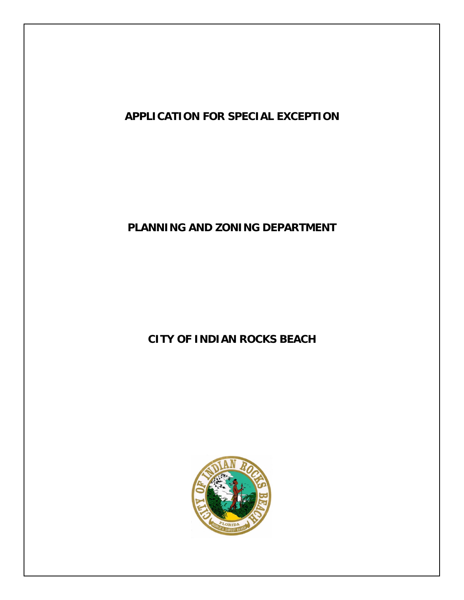

# **PLANNING AND ZONING DEPARTMENT**

# **CITY OF INDIAN ROCKS BEACH**

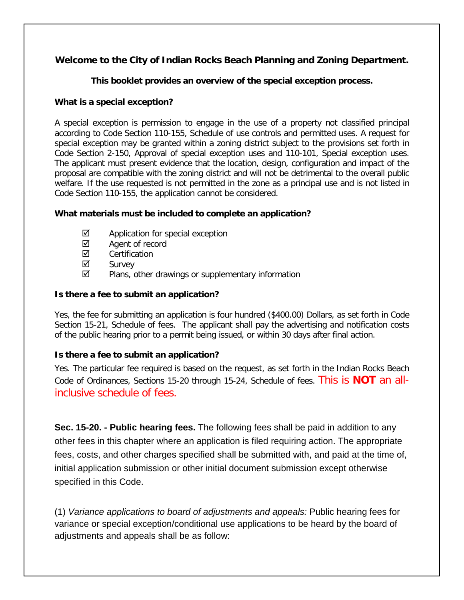# **Welcome to the City of Indian Rocks Beach Planning and Zoning Department.**

# **This booklet provides an overview of the special exception process.**

# **What is a special exception?**

A special exception is permission to engage in the use of a property not classified principal according to Code Section 110-155, Schedule of use controls and permitted uses. A request for special exception may be granted within a zoning district subject to the provisions set forth in Code Section 2-150, Approval of special exception uses and 110-101, Special exception uses. The applicant must present evidence that the location, design, configuration and impact of the proposal are compatible with the zoning district and will not be detrimental to the overall public welfare. If the use requested is not permitted in the zone as a principal use and is not listed in Code Section 110-155, the application cannot be considered.

#### **What materials must be included to complete an application?**

- $\boxtimes$  Application for special exception
- $\boxtimes$  Agent of record
- **☑** Certification
- $\boxtimes$  Survey
- $\boxtimes$  Plans, other drawings or supplementary information

# **Is there a fee to submit an application?**

Yes, the fee for submitting an application is four hundred (\$400.00) Dollars, as set forth in Code Section 15-21, Schedule of fees. The applicant shall pay the advertising and notification costs of the public hearing prior to a permit being issued, or within 30 days after final action.

# **Is there a fee to submit an application?**

Yes. The particular fee required is based on the request, as set forth in the Indian Rocks Beach Code of Ordinances, Sections 15-20 through 15-24, Schedule of fees. This is **NOT** an allinclusive schedule of fees.

**Sec. 15-20. - Public hearing fees.** The following fees shall be paid in addition to any other fees in this chapter where an application is filed requiring action. The appropriate fees, costs, and other charges specified shall be submitted with, and paid at the time of, initial application submission or other initial document submission except otherwise specified in this Code.

(1) *Variance applications to board of adjustments and appeals:* Public hearing fees for variance or special exception/conditional use applications to be heard by the board of adjustments and appeals shall be as follow: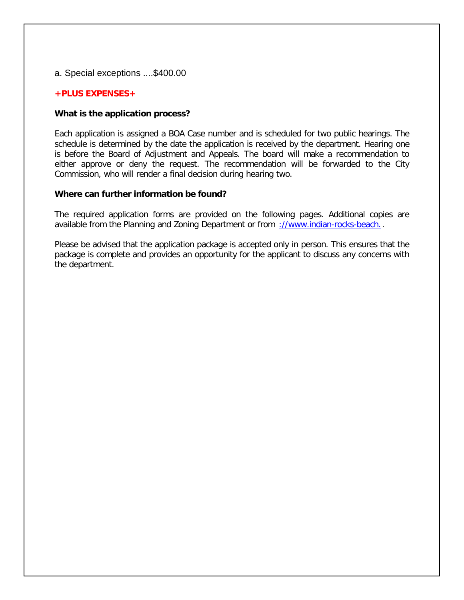#### a. Special exceptions ....\$400.00

#### **+PLUS EXPENSES+**

#### **What is the application process?**

Each application is assigned a BOA Case number and is scheduled for two public hearings. The schedule is determined by the date the application is received by the department. Hearing one is before the Board of Adjustment and Appeals. The board will make a recommendation to either approve or deny the request. The recommendation will be forwarded to the City Commission, who will render a final decision during hearing two.

#### **Where can further information be found?**

The required application forms are provided on the following pages. Additional copies are available from the Planning and Zoning Department or from [://www.indian-rocks-beach..](http://www.indian-rocks-beach.org/).

Please be advised that the application package is accepted only in person. This ensures that the package is complete and provides an opportunity for the applicant to discuss any concerns with the department.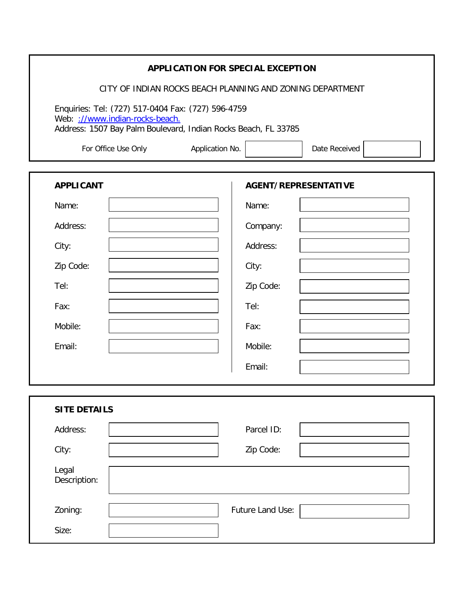|                                                                                                                                                         | <b>APPLICATION FOR SPECIAL EXCEPTION</b>                  |                  |                             |  |
|---------------------------------------------------------------------------------------------------------------------------------------------------------|-----------------------------------------------------------|------------------|-----------------------------|--|
|                                                                                                                                                         | CITY OF INDIAN ROCKS BEACH PLANNING AND ZONING DEPARTMENT |                  |                             |  |
| Enquiries: Tel: (727) 517-0404 Fax: (727) 596-4759<br>Web: ://www.indian-rocks-beach.<br>Address: 1507 Bay Palm Boulevard, Indian Rocks Beach, FL 33785 |                                                           |                  |                             |  |
| For Office Use Only                                                                                                                                     | Application No.                                           |                  | Date Received               |  |
| <b>APPLICANT</b>                                                                                                                                        |                                                           |                  | <b>AGENT/REPRESENTATIVE</b> |  |
| Name:                                                                                                                                                   |                                                           | Name:            |                             |  |
| Address:                                                                                                                                                |                                                           | Company:         |                             |  |
| City:                                                                                                                                                   |                                                           | Address:         |                             |  |
| Zip Code:                                                                                                                                               |                                                           | City:            |                             |  |
| Tel:                                                                                                                                                    |                                                           | Zip Code:        |                             |  |
| Fax:                                                                                                                                                    |                                                           | Tel:             |                             |  |
| Mobile:                                                                                                                                                 |                                                           | Fax:             |                             |  |
| Email:                                                                                                                                                  |                                                           | Mobile:          |                             |  |
|                                                                                                                                                         |                                                           | Email:           |                             |  |
|                                                                                                                                                         |                                                           |                  |                             |  |
| <b>SITE DETAILS</b>                                                                                                                                     |                                                           |                  |                             |  |
| Address:                                                                                                                                                |                                                           | Parcel ID:       |                             |  |
| City:                                                                                                                                                   |                                                           | Zip Code:        |                             |  |
| Legal<br>Description:                                                                                                                                   |                                                           |                  |                             |  |
| Zoning:                                                                                                                                                 |                                                           | Future Land Use: |                             |  |
| Size:                                                                                                                                                   |                                                           |                  |                             |  |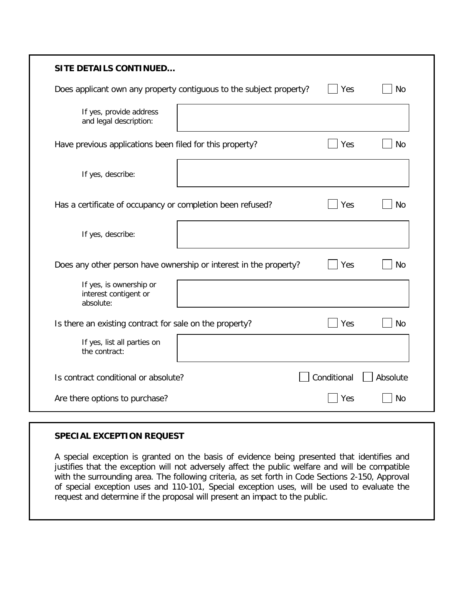| <b>SITE DETAILS CONTINUED</b>                                       |             |           |
|---------------------------------------------------------------------|-------------|-----------|
| Does applicant own any property contiguous to the subject property? | Yes         | No        |
| If yes, provide address<br>and legal description:                   |             |           |
| Have previous applications been filed for this property?            | Yes         | <b>No</b> |
| If yes, describe:                                                   |             |           |
| Has a certificate of occupancy or completion been refused?          | Yes         | No        |
| If yes, describe:                                                   |             |           |
| Does any other person have ownership or interest in the property?   | Yes         | No        |
| If yes, is ownership or<br>interest contigent or<br>absolute:       |             |           |
| Is there an existing contract for sale on the property?             | Yes         | <b>No</b> |
| If yes, list all parties on<br>the contract:                        |             |           |
| Is contract conditional or absolute?                                | Conditional | Absolute  |
| Are there options to purchase?                                      | Yes         | <b>No</b> |

# **SPECIAL EXCEPTION REQUEST**

A special exception is granted on the basis of evidence being presented that identifies and justifies that the exception will not adversely affect the public welfare and will be compatible with the surrounding area. The following criteria, as set forth in Code Sections 2-150, Approval of special exception uses and 110-101, Special exception uses, will be used to evaluate the request and determine if the proposal will present an impact to the public.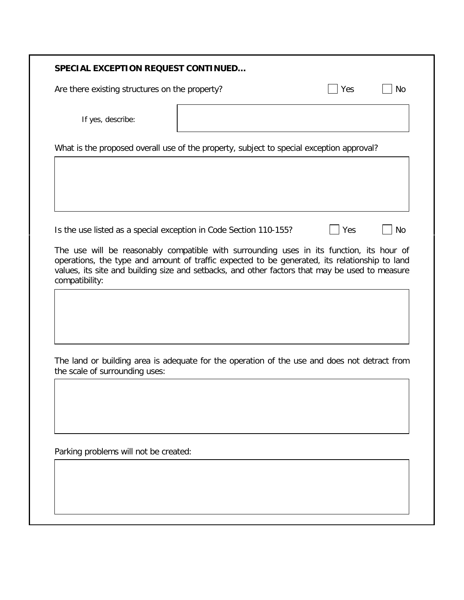#### **SPECIAL EXCEPTION REQUEST CONTINUED…**

Are there existing structures on the property?  $\Box$  Yes  $\Box$  No

If yes, describe:

What is the proposed overall use of the property, subject to special exception approval?

Is the use listed as a special exception in Code Section 110-155?  $\Box$  Yes  $\Box$  No

The use will be reasonably compatible with surrounding uses in its function, its hour of operations, the type and amount of traffic expected to be generated, its relationship to land values, its site and building size and setbacks, and other factors that may be used to measure compatibility:

The land or building area is adequate for the operation of the use and does not detract from the scale of surrounding uses:

Parking problems will not be created: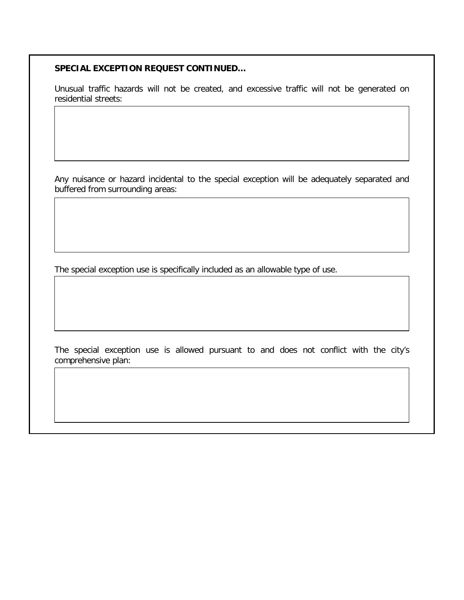### **SPECIAL EXCEPTION REQUEST CONTINUED…**

Unusual traffic hazards will not be created, and excessive traffic will not be generated on residential streets:

Any nuisance or hazard incidental to the special exception will be adequately separated and buffered from surrounding areas:

The special exception use is specifically included as an allowable type of use.

The special exception use is allowed pursuant to and does not conflict with the city's comprehensive plan: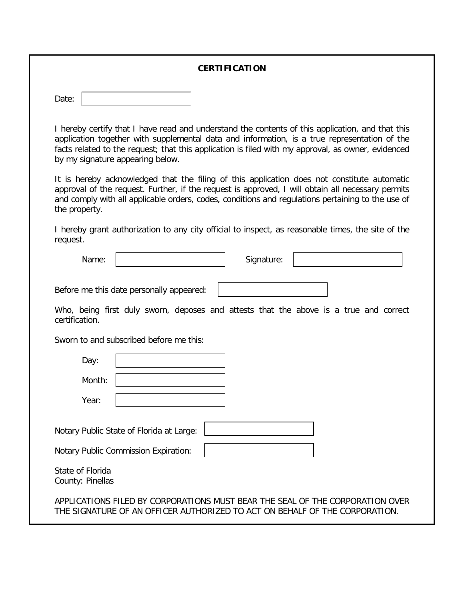#### **CERTIFICATION**

| Date: |  |
|-------|--|
|-------|--|

I hereby certify that I have read and understand the contents of this application, and that this application together with supplemental data and information, is a true representation of the facts related to the request; that this application is filed with my approval, as owner, evidenced by my signature appearing below.

It is hereby acknowledged that the filing of this application does not constitute automatic approval of the request. Further, if the request is approved, I will obtain all necessary permits and comply with all applicable orders, codes, conditions and regulations pertaining to the use of the property.

I hereby grant authorization to any city official to inspect, as reasonable times, the site of the request.

| Name: | Signature: |  |
|-------|------------|--|
|       |            |  |

Before me this date personally appeared:

Who, being first duly sworn, deposes and attests that the above is a true and correct certification.

Sworn to and subscribed before me this:

| Day:                                 |                                             |                                                                                                                                                              |  |
|--------------------------------------|---------------------------------------------|--------------------------------------------------------------------------------------------------------------------------------------------------------------|--|
| Month:                               |                                             |                                                                                                                                                              |  |
| Year:                                |                                             |                                                                                                                                                              |  |
|                                      | Notary Public State of Florida at Large:    |                                                                                                                                                              |  |
|                                      | <b>Notary Public Commission Expiration:</b> |                                                                                                                                                              |  |
| State of Florida<br>County: Pinellas |                                             |                                                                                                                                                              |  |
|                                      |                                             | APPLICATIONS FILED BY CORPORATIONS MUST BEAR THE SEAL OF THE CORPORATION OVER<br>THE SIGNATURE OF AN OFFICER AUTHORIZED TO ACT ON BEHALF OF THE CORPORATION. |  |